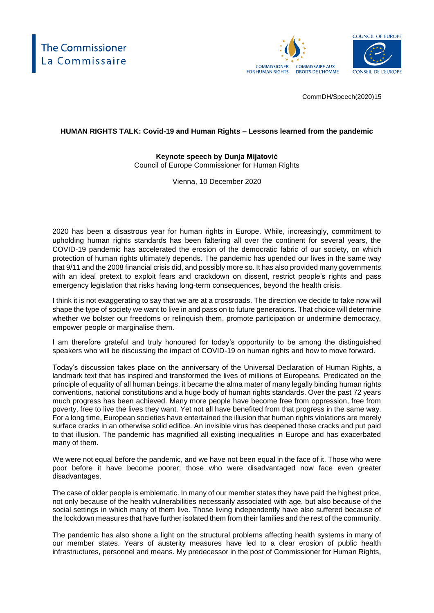



CommDH/Speech(2020)15

## **HUMAN RIGHTS TALK: Covid-19 and Human Rights – Lessons learned from the pandemic**

**Keynote speech by Dunja Mijatović** Council of Europe Commissioner for Human Rights

Vienna, 10 December 2020

2020 has been a disastrous year for human rights in Europe. While, increasingly, commitment to upholding human rights standards has been faltering all over the continent for several years, the COVID-19 pandemic has accelerated the erosion of the democratic fabric of our society, on which protection of human rights ultimately depends. The pandemic has upended our lives in the same way that 9/11 and the 2008 financial crisis did, and possibly more so. It has also provided many governments with an ideal pretext to exploit fears and crackdown on dissent, restrict people's rights and pass emergency legislation that risks having long-term consequences, beyond the health crisis.

I think it is not exaggerating to say that we are at a crossroads. The direction we decide to take now will shape the type of society we want to live in and pass on to future generations. That choice will determine whether we bolster our freedoms or relinquish them, promote participation or undermine democracy, empower people or marginalise them.

I am therefore grateful and truly honoured for today's opportunity to be among the distinguished speakers who will be discussing the impact of COVID-19 on human rights and how to move forward.

Today's discussion takes place on the anniversary of the Universal Declaration of Human Rights, a landmark text that has inspired and transformed the lives of millions of Europeans. Predicated on the principle of equality of all human beings, it became the alma mater of many legally binding human rights conventions, national constitutions and a huge body of human rights standards. Over the past 72 years much progress has been achieved. Many more people have become free from oppression, free from poverty, free to live the lives they want. Yet not all have benefited from that progress in the same way. For a long time, European societies have entertained the illusion that human rights violations are merely surface cracks in an otherwise solid edifice. An invisible virus has deepened those cracks and put paid to that illusion. The pandemic has magnified all existing inequalities in Europe and has exacerbated many of them.

We were not equal before the pandemic, and we have not been equal in the face of it. Those who were poor before it have become poorer; those who were disadvantaged now face even greater disadvantages.

The case of older people is emblematic. In many of our member states they have paid the highest price, not only because of the health vulnerabilities necessarily associated with age, but also because of the social settings in which many of them live. Those living independently have also suffered because of the lockdown measures that have further isolated them from their families and the rest of the community.

The pandemic has also shone a light on the structural problems affecting health systems in many of our member states. Years of austerity measures have led to a clear erosion of public health infrastructures, personnel and means. My predecessor in the post of Commissioner for Human Rights,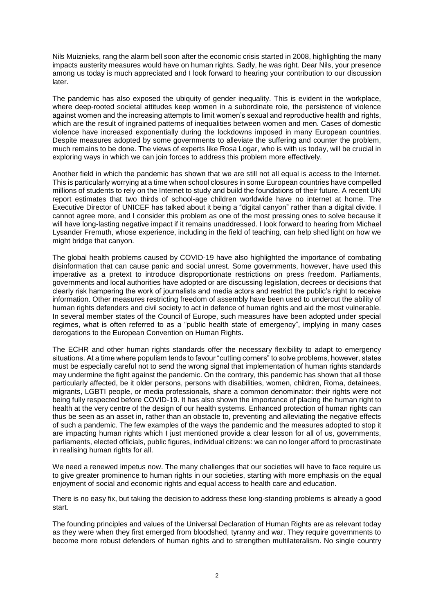Nils Muiznieks, rang the alarm bell soon after the economic crisis started in 2008, highlighting the many impacts austerity measures would have on human rights. Sadly, he was right. Dear Nils, your presence among us today is much appreciated and I look forward to hearing your contribution to our discussion later.

The pandemic has also exposed the ubiquity of gender inequality. This is evident in the workplace, where deep-rooted societal attitudes keep women in a subordinate role, the persistence of violence against women and the increasing attempts to limit women's sexual and reproductive health and rights, which are the result of ingrained patterns of inequalities between women and men. Cases of domestic violence have increased exponentially during the lockdowns imposed in many European countries. Despite measures adopted by some governments to alleviate the suffering and counter the problem, much remains to be done. The views of experts like Rosa Logar, who is with us today, will be crucial in exploring ways in which we can join forces to address this problem more effectively.

Another field in which the pandemic has shown that we are still not all equal is access to the Internet. This is particularly worrying at a time when school closures in some European countries have compelled millions of students to rely on the Internet to study and build the foundations of their future. A recent UN report estimates that two thirds of school-age children worldwide have no internet at home. The Executive Director of UNICEF has talked about it being a "digital canyon" rather than a digital divide. I cannot agree more, and I consider this problem as one of the most pressing ones to solve because it will have long-lasting negative impact if it remains unaddressed. I look forward to hearing from Michael Lysander Fremuth, whose experience, including in the field of teaching, can help shed light on how we might bridge that canyon.

The global health problems caused by COVID-19 have also highlighted the importance of combating disinformation that can cause panic and social unrest. Some governments, however, have used this imperative as a pretext to introduce disproportionate restrictions on press freedom. Parliaments, governments and local authorities have adopted or are discussing legislation, decrees or decisions that clearly risk hampering the work of journalists and media actors and restrict the public's right to receive information. Other measures restricting freedom of assembly have been used to undercut the ability of human rights defenders and civil society to act in defence of human rights and aid the most vulnerable. In several member states of the Council of Europe, such measures have been adopted under special regimes, what is often referred to as a "public health state of emergency", implying in many cases derogations to the European Convention on Human Rights.

The ECHR and other human rights standards offer the necessary flexibility to adapt to emergency situations. At a time where populism tends to favour "cutting corners" to solve problems, however, states must be especially careful not to send the wrong signal that implementation of human rights standards may undermine the fight against the pandemic. On the contrary, this pandemic has shown that all those particularly affected, be it older persons, persons with disabilities, women, children, Roma, detainees, migrants, LGBTI people, or media professionals, share a common denominator: their rights were not being fully respected before COVID-19. It has also shown the importance of placing the human right to health at the very centre of the design of our health systems. Enhanced protection of human rights can thus be seen as an asset in, rather than an obstacle to, preventing and alleviating the negative effects of such a pandemic. The few examples of the ways the pandemic and the measures adopted to stop it are impacting human rights which I just mentioned provide a clear lesson for all of us, governments, parliaments, elected officials, public figures, individual citizens: we can no longer afford to procrastinate in realising human rights for all.

We need a renewed impetus now. The many challenges that our societies will have to face require us to give greater prominence to human rights in our societies, starting with more emphasis on the equal enjoyment of social and economic rights and equal access to health care and education.

There is no easy fix, but taking the decision to address these long-standing problems is already a good start.

The founding principles and values of the Universal Declaration of Human Rights are as relevant today as they were when they first emerged from bloodshed, tyranny and war. They require governments to become more robust defenders of human rights and to strengthen multilateralism. No single country